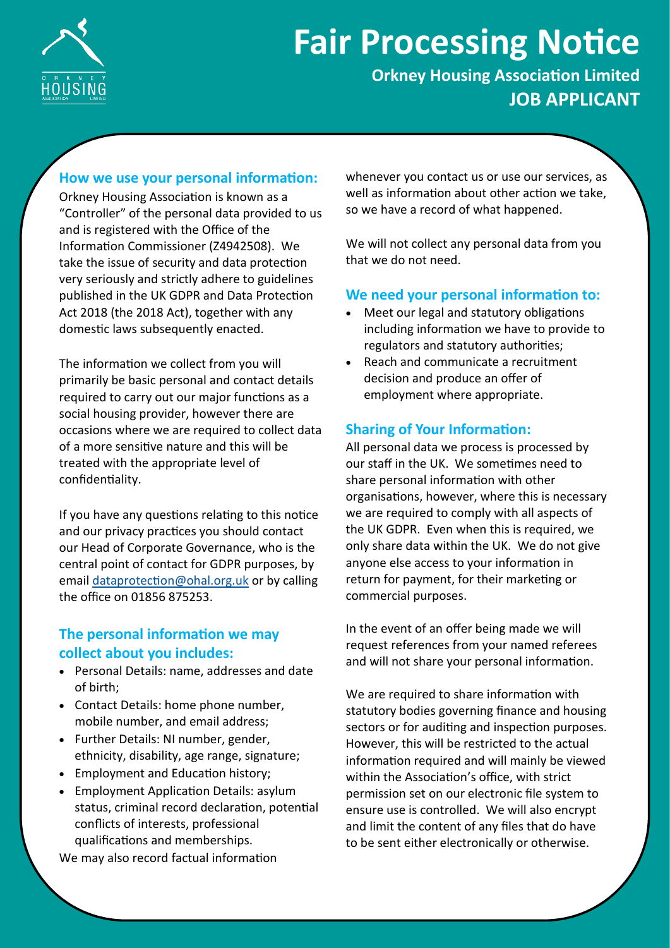

# **Fair Processing Notice**

**Orkney Housing Association Limited JOB APPLICANT**

#### **How we use your personal information:**

Orkney Housing Association is known as a "Controller" of the personal data provided to us and is registered with the Office of the Information Commissioner (Z4942508). We take the issue of security and data protection very seriously and strictly adhere to guidelines published in the UK GDPR and Data Protection Act 2018 (the 2018 Act), together with any domestic laws subsequently enacted.

The information we collect from you will primarily be basic personal and contact details required to carry out our major functions as a social housing provider, however there are occasions where we are required to collect data of a more sensitive nature and this will be treated with the appropriate level of confidentiality.

If you have any questions relating to this notice and our privacy practices you should contact our Head of Corporate Governance, who is the central point of contact for GDPR purposes, by email [dataprotection@ohal.org.uk](mailto:dataprotection@ohal.org.uk) or by calling the office on 01856 875253.

# **The personal information we may collect about you includes:**

- Personal Details: name, addresses and date of birth;
- Contact Details: home phone number, mobile number, and email address;
- Further Details: NI number, gender, ethnicity, disability, age range, signature;
- Employment and Education history;
- Employment Application Details: asylum status, criminal record declaration, potential conflicts of interests, professional qualifications and memberships.

We may also record factual information

whenever you contact us or use our services, as well as information about other action we take, so we have a record of what happened.

We will not collect any personal data from you that we do not need.

## **We need your personal information to:**

- Meet our legal and statutory obligations including information we have to provide to regulators and statutory authorities;
- Reach and communicate a recruitment decision and produce an offer of employment where appropriate.

### **Sharing of Your Information:**

All personal data we process is processed by our staff in the UK. We sometimes need to share personal information with other organisations, however, where this is necessary we are required to comply with all aspects of the UK GDPR. Even when this is required, we only share data within the UK. We do not give anyone else access to your information in return for payment, for their marketing or commercial purposes.

In the event of an offer being made we will request references from your named referees and will not share your personal information.

We are required to share information with statutory bodies governing finance and housing sectors or for auditing and inspection purposes. However, this will be restricted to the actual information required and will mainly be viewed within the Association's office, with strict permission set on our electronic file system to ensure use is controlled. We will also encrypt and limit the content of any files that do have to be sent either electronically or otherwise.